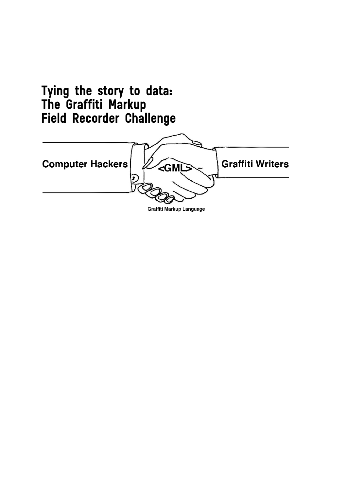# **Tying the story to data: The Graffiti Markup Field Recorder Challenge**



**Graffiti Markup Language**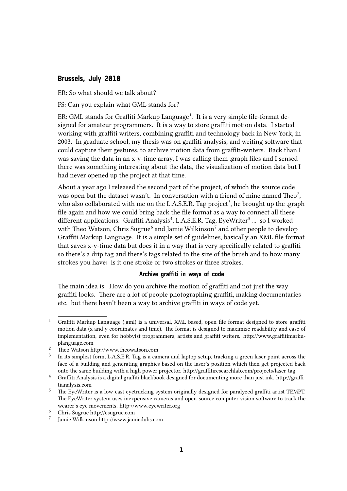# **Brussels, July 2010**

ER: So what should we talk about?

FS: Can you explain what GML stands for?

ER: GML stands for Graffiti Markup Language<sup>1</sup>. It is a very simple file-format designed for amateur programmers. It is a way to store graffiti motion data. I started working with graffiti writers, combining graffiti and technology back in New York, in 2003. In graduate school, my thesis was on graffiti analysis, and writing software that could capture their gestures, to archive motion data from graffiti-writers. Back than I was saving the data in an x-y-time array, I was calling them .graph files and I sensed there was something interesting about the data, the visualization of motion data but I had never opened up the project at that time.

About a year ago I released the second part of the project, of which the source code was open but the dataset wasn't. In conversation with a friend of mine named Theo<sup>2</sup>, who also collaborated with me on the L.A.S.E.R. Tag project<sup>3</sup>, he brought up the .graph file again and how we could bring back the file format as a way to connect all these different applications. Graffiti Analysis<sup>4</sup>, L.A.S.E.R. Tag, EyeWriter<sup>5</sup> ... so I worked with Theo Watson, Chris Sugrue<sup>6</sup> and Jamie Wilkinson<sup>7</sup> and other people to develop Graffiti Markup Language. It is a simple set of guidelines, basically an XML file format that saves x-y-time data but does it in a way that is very specifically related to graffiti so there's a drip tag and there's tags related to the size of the brush and to how many strokes you have: is it one stroke or two strokes or three strokes.

# **Archive graffiti in ways of code**

The main idea is: How do you archive the motion of graffiti and not just the way graffiti looks. There are a lot of people photographing graffiti, making documentaries etc. but there hasn't been a way to archive graffiti in ways of code yet.

<sup>&</sup>lt;sup>1</sup> Graffiti Markup Language (.gml) is a universal, XML based, open file format designed to store graffiti motion data (x and y coordinates and time). The format is designed to maximize readability and ease of implementation, even for hobbyist programmers, artists and graffiti writers. http://www.graffitimarkuplanguage.com

<sup>2</sup> Theo Watson http://www.theowatson.com

<sup>3</sup> In its simplest form, L.A.S.E.R. Tag is a camera and laptop setup, tracking a green laser point across the face of a building and generating graphics based on the laser's position which then get projected back onto the same building with a high power projector. http://graffitiresearchlab.com/projects/laser-tag

<sup>4</sup> Graffiti Analysis is a digital graffiti blackbook designed for documenting more than just ink. http://graffitianalysis.com

<sup>&</sup>lt;sup>5</sup> The EyeWriter is a low-cast eyetracking system originally designed for paralyzed graffiti artist TEMPT. The EyeWriter system uses inexpensive cameras and open-source computer vision software to track the wearer's eye movements. http://www.eyewriter.org

<sup>6</sup> Chris Sugrue http://csugrue.com

<sup>7</sup> Jamie Wilkinson http://www.jamiedubs.com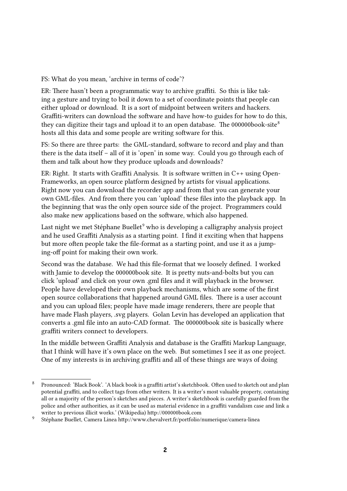FS: What do you mean, 'archive in terms of code'?

ER: There hasn't been a programmatic way to archive graffiti. So this is like taking a gesture and trying to boil it down to a set of coordinate points that people can either upload or download. It is a sort of midpoint between writers and hackers. Graffiti-writers can download the software and have how-to guides for how to do this, they can digitize their tags and upload it to an open database. The 000000book-site<sup>8</sup> hosts all this data and some people are writing software for this.

FS: So there are three parts: the GML-standard, software to record and play and than there is the data itself – all of it is 'open' in some way. Could you go through each of them and talk about how they produce uploads and downloads?

ER: Right. It starts with Graffiti Analysis. It is software written in C++ using Open-Frameworks, an open source platform designed by artists for visual applications. Right now you can download the recorder app and from that you can generate your own GML-files. And from there you can 'upload' these files into the playback app. In the beginning that was the only open source side of the project. Programmers could also make new applications based on the software, which also happened.

Last night we met Stéphane Buellet<sup>9</sup> who is developing a calligraphy analysis project and he used Graffiti Analysis as a starting point. I find it exciting when that happens but more often people take the file-format as a starting point, and use it as a jumping-off point for making their own work.

Second was the database. We had this file-format that we loosely defined. I worked with Jamie to develop the 000000book site. It is pretty nuts-and-bolts but you can click 'upload' and click on your own .gml files and it will playback in the browser. People have developed their own playback mechanisms, which are some of the first open source collaborations that happened around GML files. There is a user account and you can upload files; people have made image renderers, there are people that have made Flash players, .svg players. Golan Levin has developed an application that converts a .gml file into an auto-CAD format. The 000000book site is basically where graffiti writers connect to developers.

In the middle between Graffiti Analysis and database is the Graffiti Markup Language, that I think will have it's own place on the web. But sometimes I see it as one project. One of my interests is in archiving graffiti and all of these things are ways of doing

<sup>8</sup> Pronounced: 'Black Book'. 'A black book is a graffiti artist's sketchbook. Often used to sketch out and plan potential graffiti, and to collect tags from other writers. It is a writer's most valuable property, containing all or a majority of the person's sketches and pieces. A writer's sketchbook is carefully guarded from the police and other authorities, as it can be used as material evidence in a graffiti vandalism case and link a writer to previous illicit works.' (Wikipedia) http://000000book.com

<sup>9</sup> Stéphane Buellet, Camera Linea http://www.chevalvert.fr/portfolio/numerique/camera-linea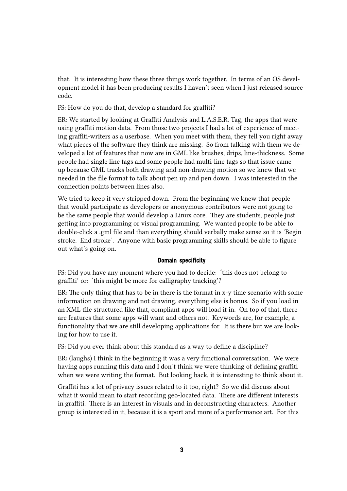that. It is interesting how these three things work together. In terms of an OS development model it has been producing results I haven't seen when I just released source code.

FS: How do you do that, develop a standard for graffiti?

ER: We started by looking at Graffiti Analysis and L.A.S.E.R. Tag, the apps that were using graffiti motion data. From those two projects I had a lot of experience of meeting graffiti-writers as a userbase. When you meet with them, they tell you right away what pieces of the software they think are missing. So from talking with them we developed a lot of features that now are in GML like brushes, drips, line-thickness. Some people had single line tags and some people had multi-line tags so that issue came up because GML tracks both drawing and non-drawing motion so we knew that we needed in the file format to talk about pen up and pen down. I was interested in the connection points between lines also.

We tried to keep it very stripped down. From the beginning we knew that people that would participate as developers or anonymous contributors were not going to be the same people that would develop a Linux core. They are students, people just getting into programming or visual programming. We wanted people to be able to double-click a .gml file and than everything should verbally make sense so it is 'Begin stroke. End stroke'. Anyone with basic programming skills should be able to figure out what's going on.

# **Domain specificity**

FS: Did you have any moment where you had to decide: 'this does not belong to graffiti' or: 'this might be more for calligraphy tracking'?

ER: The only thing that has to be in there is the format in x-y time scenario with some information on drawing and not drawing, everything else is bonus. So if you load in an XML-file structured like that, compliant apps will load it in. On top of that, there are features that some apps will want and others not. Keywords are, for example, a functionality that we are still developing applications for. It is there but we are looking for how to use it.

FS: Did you ever think about this standard as a way to define a discipline?

ER: (laughs) I think in the beginning it was a very functional conversation. We were having apps running this data and I don't think we were thinking of defining graffiti when we were writing the format. But looking back, it is interesting to think about it.

Graffiti has a lot of privacy issues related to it too, right? So we did discuss about what it would mean to start recording geo-located data. There are different interests in graffiti. There is an interest in visuals and in deconstructing characters. Another group is interested in it, because it is a sport and more of a performance art. For this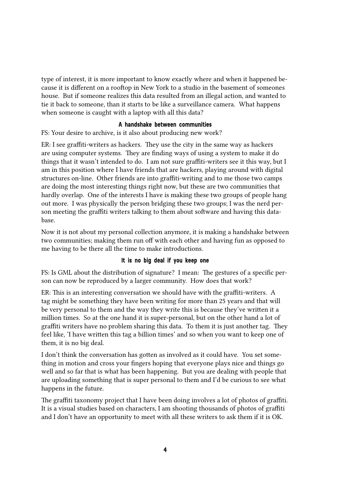type of interest, it is more important to know exactly where and when it happened because it is different on a rooftop in New York to a studio in the basement of someones house. But if someone realizes this data resulted from an illegal action, and wanted to tie it back to someone, than it starts to be like a surveillance camera. What happens when someone is caught with a laptop with all this data?

# **A handshake between communities**

FS: Your desire to archive, is it also about producing new work?

ER: I see graffiti-writers as hackers. They use the city in the same way as hackers are using computer systems. They are finding ways of using a system to make it do things that it wasn't intended to do. I am not sure graffiti-writers see it this way, but I am in this position where I have friends that are hackers, playing around with digital structures on-line. Other friends are into graffiti-writing and to me those two camps are doing the most interesting things right now, but these are two communities that hardly overlap. One of the interests I have is making these two groups of people hang out more. I was physically the person bridging these two groups; I was the nerd person meeting the graffiti writers talking to them about software and having this database.

Now it is not about my personal collection anymore, it is making a handshake between two communities; making them run off with each other and having fun as opposed to me having to be there all the time to make introductions.

## **It is no big deal if you keep one**

FS: Is GML about the distribution of signature? I mean: The gestures of a specific person can now be reproduced by a larger community. How does that work?

ER: This is an interesting conversation we should have with the graffiti-writers. A tag might be something they have been writing for more than 25 years and that will be very personal to them and the way they write this is because they've written it a million times. So at the one hand it is super-personal, but on the other hand a lot of graffiti writers have no problem sharing this data. To them it is just another tag. They feel like, 'I have written this tag a billion times' and so when you want to keep one of them, it is no big deal.

I don't think the conversation has gotten as involved as it could have. You set something in motion and cross your fingers hoping that everyone plays nice and things go well and so far that is what has been happening. But you are dealing with people that are uploading something that is super personal to them and I'd be curious to see what happens in the future.

The graffiti taxonomy project that I have been doing involves a lot of photos of graffiti. It is a visual studies based on characters, I am shooting thousands of photos of graffiti and I don't have an opportunity to meet with all these writers to ask them if it is OK.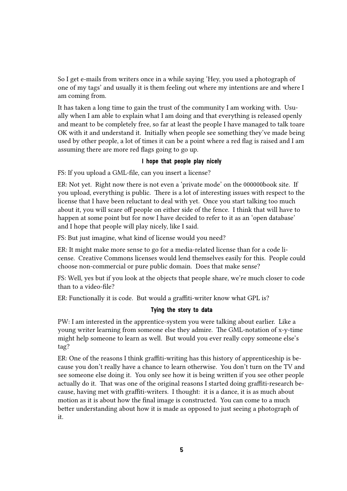So I get e-mails from writers once in a while saying 'Hey, you used a photograph of one of my tags' and usually it is them feeling out where my intentions are and where I am coming from.

It has taken a long time to gain the trust of the community I am working with. Usually when I am able to explain what I am doing and that everything is released openly and meant to be completely free, so far at least the people I have managed to talk toare OK with it and understand it. Initially when people see something they've made being used by other people, a lot of times it can be a point where a red flag is raised and I am assuming there are more red flags going to go up.

# **I hope that people play nicely**

FS: If you upload a GML-file, can you insert a license?

ER: Not yet. Right now there is not even a 'private mode' on the 000000book site. If you upload, everything is public. There is a lot of interesting issues with respect to the license that I have been reluctant to deal with yet. Once you start talking too much about it, you will scare off people on either side of the fence. I think that will have to happen at some point but for now I have decided to refer to it as an 'open database' and I hope that people will play nicely, like I said.

FS: But just imagine, what kind of license would you need?

ER: It might make more sense to go for a media-related license than for a code license. Creative Commons licenses would lend themselves easily for this. People could choose non-commercial or pure public domain. Does that make sense?

FS: Well, yes but if you look at the objects that people share, we're much closer to code than to a video-file?

ER: Functionally it is code. But would a graffiti-writer know what GPL is?

## **Tying the story to data**

PW: I am interested in the apprentice-system you were talking about earlier. Like a young writer learning from someone else they admire. The GML-notation of x-y-time might help someone to learn as well. But would you ever really copy someone else's tag?

ER: One of the reasons I think graffiti-writing has this history of apprenticeship is because you don't really have a chance to learn otherwise. You don't turn on the TV and see someone else doing it. You only see how it is being written if you see other people actually do it. That was one of the original reasons I started doing graffiti-research because, having met with graffiti-writers. I thought: it is a dance, it is as much about motion as it is about how the final image is constructed. You can come to a much better understanding about how it is made as opposed to just seeing a photograph of it.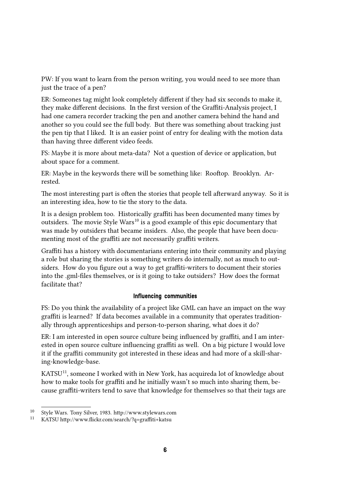PW: If you want to learn from the person writing, you would need to see more than just the trace of a pen?

ER: Someones tag might look completely different if they had six seconds to make it, they make different decisions. In the first version of the Graffiti-Analysis project, I had one camera recorder tracking the pen and another camera behind the hand and another so you could see the full body. But there was something about tracking just the pen tip that I liked. It is an easier point of entry for dealing with the motion data than having three different video feeds.

FS: Maybe it is more about meta-data? Not a question of device or application, but about space for a comment.

ER: Maybe in the keywords there will be something like: Rooftop. Brooklyn. Arrested.

The most interesting part is often the stories that people tell afterward anyway. So it is an interesting idea, how to tie the story to the data.

It is a design problem too. Historically graffiti has been documented many times by outsiders. The movie Style Wars<sup>10</sup> is a good example of this epic documentary that was made by outsiders that became insiders. Also, the people that have been documenting most of the graffiti are not necessarily graffiti writers.

Graffiti has a history with documentarians entering into their community and playing a role but sharing the stories is something writers do internally, not as much to outsiders. How do you figure out a way to get graffiti-writers to document their stories into the .gml-files themselves, or is it going to take outsiders? How does the format facilitate that?

## **Influencing communities**

FS: Do you think the availability of a project like GML can have an impact on the way graffiti is learned? If data becomes available in a community that operates traditionally through apprenticeships and person-to-person sharing, what does it do?

ER: I am interested in open source culture being influenced by graffiti, and I am interested in open source culture influencing graffiti as well. On a big picture I would love it if the graffiti community got interested in these ideas and had more of a skill-sharing-knowledge-base.

KATSU<sup>11</sup>, someone I worked with in New York, has acquireda lot of knowledge about how to make tools for graffiti and he initially wasn't so much into sharing them, because graffiti-writers tend to save that knowledge for themselves so that their tags are

<sup>&</sup>lt;sup>10</sup> Style Wars. Tony Silver, 1983. http://www.stylewars.com<br><sup>11</sup> KATCU kttp://www.stylewars.com

<sup>11</sup> KATSU http://www.flickr.com/search/?q=graffiti+katsu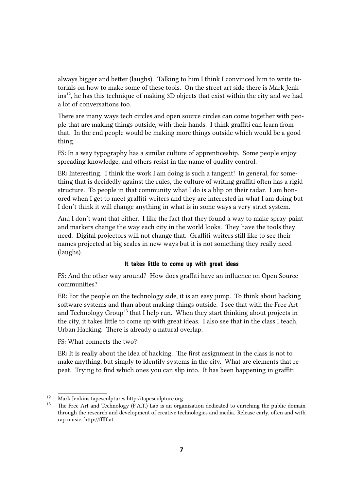always bigger and better (laughs). Talking to him I think I convinced him to write tutorials on how to make some of these tools. On the street art side there is Mark Jenk $ins<sup>12</sup>$ , he has this technique of making 3D objects that exist within the city and we had a lot of conversations too.

There are many ways tech circles and open source circles can come together with people that are making things outside, with their hands. I think graffiti can learn from that. In the end people would be making more things outside which would be a good thing.

FS: In a way typography has a similar culture of apprenticeship. Some people enjoy spreading knowledge, and others resist in the name of quality control.

ER: Interesting. I think the work I am doing is such a tangent! In general, for something that is decidedly against the rules, the culture of writing graffiti often has a rigid structure. To people in that community what I do is a blip on their radar. I am honored when I get to meet graffiti-writers and they are interested in what I am doing but I don't think it will change anything in what is in some ways a very strict system.

And I don't want that either. I like the fact that they found a way to make spray-paint and markers change the way each city in the world looks. They have the tools they need. Digital projectors will not change that. Graffiti-writers still like to see their names projected at big scales in new ways but it is not something they really need (laughs).

## **It takes little to come up with great ideas**

FS: And the other way around? How does graffiti have an influence on Open Source communities?

ER: For the people on the technology side, it is an easy jump. To think about hacking software systems and than about making things outside. I see that with the Free Art and Technology Group<sup>13</sup> that I help run. When they start thinking about projects in the city, it takes little to come up with great ideas. I also see that in the class I teach, Urban Hacking. There is already a natural overlap.

FS: What connects the two?

ER: It is really about the idea of hacking. The first assignment in the class is not to make anything, but simply to identify systems in the city. What are elements that repeat. Trying to find which ones you can slip into. It has been happening in graffiti

<sup>&</sup>lt;sup>12</sup> Mark Jenkins tapesculptures http://tapesculpture.org<br><sup>13</sup> The Free Art and Technology (FAT) Leh is an argu

The Free Art and Technology  $(FAT)$  Lab is an organization dedicated to enriching the public domain through the research and development of creative technologies and media. Release early, often and with rap music. http://fffff.at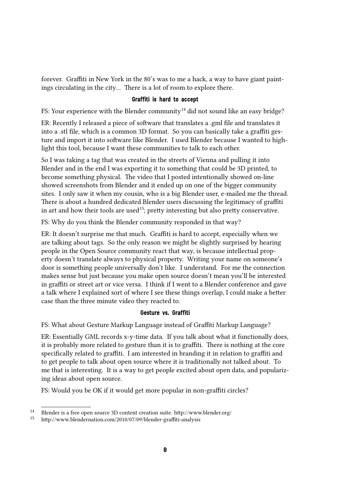forever. Graffiti in New York in the 80's was to me a hack, a way to have giant paintings circulating in the city… There is a lot of room to explore there.

# **Graffiti is hard to accept**

FS: Your experience with the Blender community<sup>14</sup> did not sound like an easy bridge?

ER: Recently I released a piece of software that translates a .gml file and translates it into a .stl file, which is a common 3D format. So you can basically take a graffiti gesture and import it into software like Blender. I used Blender because I wanted to highlight this tool, because I want these communities to talk to each other.

So I was taking a tag that was created in the streets of Vienna and pulling it into Blender and in the end I was exporting it to something that could be 3D printed, to become something physical. The video that I posted intentionally showed on-line showed screenshots from Blender and it ended up on one of the bigger community sites. I only saw it when my cousin, who is a big Blender user, e-mailed me the thread. There is about a hundred dedicated Blender users discussing the legitimacy of graffiti in art and how their tools are used<sup>15</sup>; pretty interesting but also pretty conservative.

FS: Why do you think the Blender community responded in that way?

ER: It doesn't surprise me that much. Graffiti is hard to accept, especially when we are talking about tags. So the only reason we might be slightly surprised by hearing people in the Open Source community react that way, is because intellectual property doesn't translate always to physical property. Writing your name on someone's door is something people universally don't like. I understand. For me the connection makes sense but just because you make open source doesn't mean you'll be interested in graffiti or street art or vice versa. I think if I went to a Blender conference and gave a talk where I explained sort of where I see these things overlap, I could make a better case than the three minute video they reacted to.

## **Gesture vs. Graffiti**

FS: What about Gesture Markup Language instead of Graffiti Markup Language?

ER: Essentially GML records x-y-time data. If you talk about what it functionally does, it is probably more related to gesture than it is to graffiti. There is nothing at the core specifically related to graffiti. I am interested in branding it in relation to graffiti and to get people to talk about open source where it is traditionally not talked about. To me that is interesting. It is a way to get people excited about open data, and popularizing ideas about open source.

FS: Would you be OK if it would get more popular in non-graffiti circles?

<sup>14</sup> Blender is a free open source 3D content creation suite. http://www.blender.org/<br>15 bttp://www.blondernation.com/2010/07/00/blonder.graffii.org/wis

<sup>15</sup> http://www.blendernation.com/2010/07/09/blender-graffiti-analysis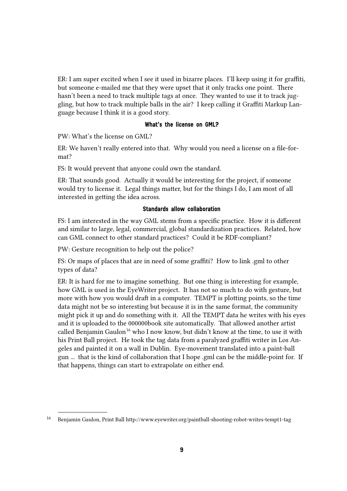ER: I am super excited when I see it used in bizarre places. I'll keep using it for graffiti, but someone e-mailed me that they were upset that it only tracks one point. There hasn't been a need to track multiple tags at once. They wanted to use it to track juggling, but how to track multiple balls in the air? I keep calling it Graffiti Markup Language because I think it is a good story.

# **What's the license on GML?**

PW: What's the license on GML?

ER: We haven't really entered into that. Why would you need a license on a file-format?

FS: It would prevent that anyone could own the standard.

ER: That sounds good. Actually it would be interesting for the project, if someone would try to license it. Legal things matter, but for the things I do, I am most of all interested in getting the idea across.

# **Standards allow collaboration**

FS: I am interested in the way GML stems from a specific practice. How it is different and similar to large, legal, commercial, global standardization practices. Related, how can GML connect to other standard practices? Could it be RDF-compliant?

PW: Gesture recognition to help out the police?

FS: Or maps of places that are in need of some graffiti? How to link .gml to other types of data?

ER: It is hard for me to imagine something. But one thing is interesting for example, how GML is used in the EyeWriter project. It has not so much to do with gesture, but more with how you would draft in a computer. TEMPT is plotting points, so the time data might not be so interesting but because it is in the same format, the community might pick it up and do something with it. All the TEMPT data he writes with his eyes and it is uploaded to the 000000book site automatically. That allowed another artist called Benjamin Gaulon<sup>16</sup> who I now know, but didn't know at the time, to use it with his Print Ball project. He took the tag data from a paralyzed graffiti writer in Los Angeles and painted it on a wall in Dublin. Eye-movement translated into a paint-ball gun … that is the kind of collaboration that I hope .gml can be the middle-point for. If that happens, things can start to extrapolate on either end.

<sup>16</sup> Benjamin Gaulon, Print Ball http://www.eyewriter.org/paintball-shooting-robot-writes-tempt1-tag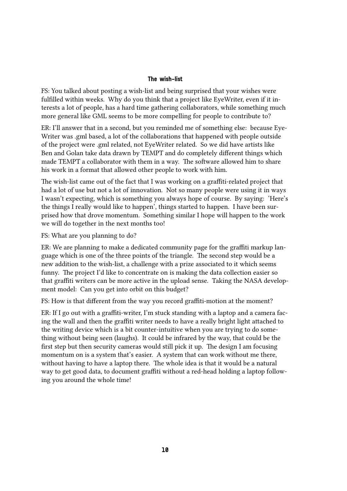# **The wish-list**

FS: You talked about posting a wish-list and being surprised that your wishes were fulfilled within weeks. Why do you think that a project like EyeWriter, even if it interests a lot of people, has a hard time gathering collaborators, while something much more general like GML seems to be more compelling for people to contribute to?

ER: I'll answer that in a second, but you reminded me of something else: because Eye-Writer was .gml based, a lot of the collaborations that happened with people outside of the project were .gml related, not EyeWriter related. So we did have artists like Ben and Golan take data drawn by TEMPT and do completely different things which made TEMPT a collaborator with them in a way. The software allowed him to share his work in a format that allowed other people to work with him.

The wish-list came out of the fact that I was working on a graffiti-related project that had a lot of use but not a lot of innovation. Not so many people were using it in ways I wasn't expecting, which is something you always hope of course. By saying: 'Here's the things I really would like to happen', things started to happen. I have been surprised how that drove momentum. Something similar I hope will happen to the work we will do together in the next months too!

FS: What are you planning to do?

ER: We are planning to make a dedicated community page for the graffiti markup language which is one of the three points of the triangle. The second step would be a new addition to the wish-list, a challenge with a prize associated to it which seems funny. The project I'd like to concentrate on is making the data collection easier so that graffiti writers can be more active in the upload sense. Taking the NASA development model: Can you get into orbit on this budget?

FS: How is that different from the way you record graffiti-motion at the moment?

ER: If I go out with a graffiti-writer, I'm stuck standing with a laptop and a camera facing the wall and then the graffiti writer needs to have a really bright light attached to the writing device which is a bit counter-intuitive when you are trying to do something without being seen (laughs). It could be infrared by the way, that could be the first step but then security cameras would still pick it up. The design I am focusing momentum on is a system that's easier. A system that can work without me there, without having to have a laptop there. The whole idea is that it would be a natural way to get good data, to document graffiti without a red-head holding a laptop following you around the whole time!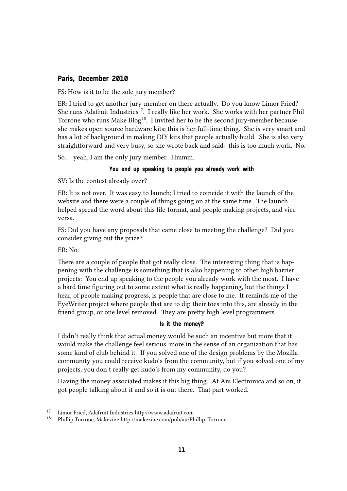# **Paris, December 2010**

FS: How is it to be the sole jury member?

ER: I tried to get another jury-member on there actually. Do you know Limor Fried? She runs Adafruit Industries<sup>17</sup>. I really like her work. She works with her partner Phil Torrone who runs Make  $Blog^{18}$ . I invited her to be the second jury-member because she makes open source hardware kits; this is her full-time thing. She is very smart and has a lot of background in making DIY kits that people actually build. She is also very straightforward and very busy, so she wrote back and said: this is too much work. No.

So… yeah, I am the only jury member. Hmmm.

# **You end up speaking to people you already work with**

SV: Is the contest already over?

ER: It is not over. It was easy to launch; I tried to coincide it with the launch of the website and there were a couple of things going on at the same time. The launch helped spread the word about this file-format, and people making projects, and vice versa.

FS: Did you have any proposals that came close to meeting the challenge? Did you consider giving out the prize?

ER: No.

There are a couple of people that got really close. The interesting thing that is happening with the challenge is something that is also happening to other high barrier projects: You end up speaking to the people you already work with the most. I have a hard time figuring out to some extent what is really happening, but the things I hear, of people making progress, is people that are close to me. It reminds me of the EyeWriter project where people that are to dip their toes into this, are already in the friend group, or one level removed. They are pretty high level programmers.

#### **Is it the money?**

I didn't really think that actual money would be such an incentive but more that it would make the challenge feel serious, more in the sense of an organization that has some kind of club behind it. If you solved one of the design problems by the Mozilla community you could receive kudo's from the community, but if you solved one of my projects, you don't really get kudo's from my community, do you?

Having the money associated makes it this big thing. At Ars Electronica and so on, it got people talking about it and so it is out there. That part worked.

<sup>17</sup> Limor Fried, Adafruit Industries http://www.adafruit.com

<sup>18</sup> Phillip Torrone, Makezine http://makezine.com/pub/au/Phillip\_Torrone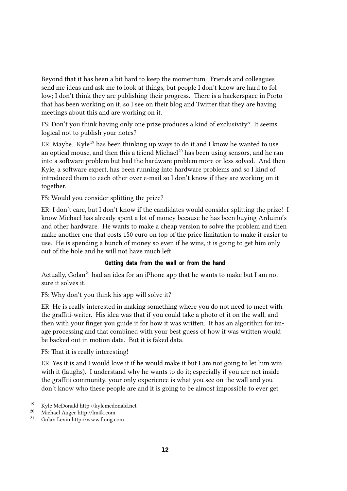Beyond that it has been a bit hard to keep the momentum. Friends and colleagues send me ideas and ask me to look at things, but people I don't know are hard to follow; I don't think they are publishing their progress. There is a hackerspace in Porto that has been working on it, so I see on their blog and Twitter that they are having meetings about this and are working on it.

FS: Don't you think having only one prize produces a kind of exclusivity? It seems logical not to publish your notes?

ER: Maybe. Kyle<sup>19</sup> has been thinking up ways to do it and I know he wanted to use an optical mouse, and then this a friend Michael<sup>20</sup> has been using sensors, and he ran into a software problem but had the hardware problem more or less solved. And then Kyle, a software expert, has been running into hardware problems and so I kind of introduced them to each other over e-mail so I don't know if they are working on it together.

FS: Would you consider splitting the prize?

ER: I don't care, but I don't know if the candidates would consider splitting the prize! I know Michael has already spent a lot of money because he has been buying Arduino's and other hardware. He wants to make a cheap version to solve the problem and then make another one that costs 150 euro on top of the price limitation to make it easier to use. He is spending a bunch of money so even if he wins, it is going to get him only out of the hole and he will not have much left.

# **Getting data from the wall or from the hand**

Actually, Golan<sup>21</sup> had an idea for an iPhone app that he wants to make but I am not sure it solves it.

FS: Why don't you think his app will solve it?

ER: He is really interested in making something where you do not need to meet with the graffiti-writer. His idea was that if you could take a photo of it on the wall, and then with your finger you guide it for how it was written. It has an algorithm for image processing and that combined with your best guess of how it was written would be backed out in motion data. But it is faked data.

FS: That it is really interesting!

ER: Yes it is and I would love it if he would make it but I am not going to let him win with it (laughs). I understand why he wants to do it; especially if you are not inside the graffiti community, your only experience is what you see on the wall and you don't know who these people are and it is going to be almost impossible to ever get

<sup>19</sup> Kyle McDonald http://kylemcdonald.net

<sup>&</sup>lt;sup>20</sup> Michael Auger http://lm4k.com

<sup>21</sup> Golan Levin http://www.flong.com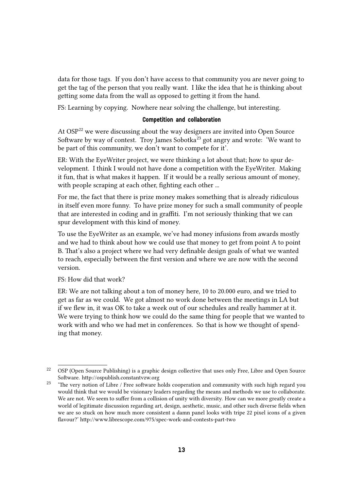data for those tags. If you don't have access to that community you are never going to get the tag of the person that you really want. I like the idea that he is thinking about getting some data from the wall as opposed to getting it from the hand.

FS: Learning by copying. Nowhere near solving the challenge, but interesting.

## **Competition and collaboration**

At OSP<sup>22</sup> we were discussing about the way designers are invited into Open Source Software by way of contest. Troy James Sobotka<sup>23</sup> got angry and wrote: 'We want to be part of this community, we don't want to compete for it'.

ER: With the EyeWriter project, we were thinking a lot about that; how to spur development. I think I would not have done a competition with the EyeWriter. Making it fun, that is what makes it happen. If it would be a really serious amount of money, with people scraping at each other, fighting each other …

For me, the fact that there is prize money makes something that is already ridiculous in itself even more funny. To have prize money for such a small community of people that are interested in coding and in graffiti. I'm not seriously thinking that we can spur development with this kind of money.

To use the EyeWriter as an example, we've had money infusions from awards mostly and we had to think about how we could use that money to get from point A to point B. That's also a project where we had very definable design goals of what we wanted to reach, especially between the first version and where we are now with the second version.

FS: How did that work?

ER: We are not talking about a ton of money here, 10 to 20.000 euro, and we tried to get as far as we could. We got almost no work done between the meetings in LA but if we flew in, it was OK to take a week out of our schedules and really hammer at it. We were trying to think how we could do the same thing for people that we wanted to work with and who we had met in conferences. So that is how we thought of spending that money.

<sup>&</sup>lt;sup>22</sup> OSP (Open Source Publishing) is a graphic design collective that uses only Free, Libre and Open Source Software. http://ospublish.constantvzw.org

<sup>&</sup>lt;sup>23</sup> 'The very notion of Libre / Free software holds cooperation and community with such high regard you would think that we would be visionary leaders regarding the means and methods we use to collaborate. We are not. We seem to suffer from a collision of unity with diversity. How can we more greatly create a world of legitimate discussion regarding art, design, aesthetic, music, and other such diverse fields when we are so stuck on how much more consistent a damn panel looks with tripe 22 pixel icons of a given flavour?' http://www.librescope.com/975/spec-work-and-contests-part-two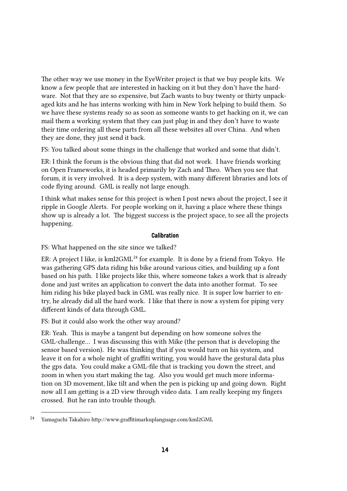The other way we use money in the EyeWriter project is that we buy people kits. We know a few people that are interested in hacking on it but they don't have the hardware. Not that they are so expensive, but Zach wants to buy twenty or thirty unpackaged kits and he has interns working with him in New York helping to build them. So we have these systems ready so as soon as someone wants to get hacking on it, we can mail them a working system that they can just plug in and they don't have to waste their time ordering all these parts from all these websites all over China. And when they are done, they just send it back.

FS: You talked about some things in the challenge that worked and some that didn't.

ER: I think the forum is the obvious thing that did not work. I have friends working on Open Frameworks, it is headed primarily by Zach and Theo. When you see that forum, it is very involved. It is a deep system, with many different libraries and lots of code flying around. GML is really not large enough.

I think what makes sense for this project is when I post news about the project, I see it ripple in Google Alerts. For people working on it, having a place where these things show up is already a lot. The biggest success is the project space, to see all the projects happening.

#### **Calibration**

FS: What happened on the site since we talked?

ER: A project I like, is  $kml2GML<sup>24</sup>$  for example. It is done by a friend from Tokyo. He was gathering GPS data riding his bike around various cities, and building up a font based on his path. I like projects like this, where someone takes a work that is already done and just writes an application to convert the data into another format. To see him riding his bike played back in GML was really nice. It is super low barrier to entry, he already did all the hard work. I like that there is now a system for piping very different kinds of data through GML.

FS: But it could also work the other way around?

ER: Yeah. This is maybe a tangent but depending on how someone solves the GML-challenge… I was discussing this with Mike (the person that is developing the sensor based version). He was thinking that if you would turn on his system, and leave it on for a whole night of graffiti writing, you would have the gestural data plus the gps data. You could make a GML-file that is tracking you down the street, and zoom in when you start making the tag. Also you would get much more information on 3D movement, like tilt and when the pen is picking up and going down. Right now all I am getting is a 2D view through video data. I am really keeping my fingers crossed. But he ran into trouble though.

<sup>24</sup> Yamaguchi Takahiro http://www.graffitimarkuplanguage.com/kml2GML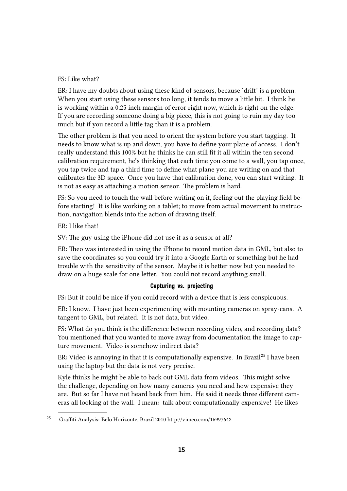# FS: Like what?

ER: I have my doubts about using these kind of sensors, because 'drift' is a problem. When you start using these sensors too long, it tends to move a little bit. I think he is working within a 0.25 inch margin of error right now, which is right on the edge. If you are recording someone doing a big piece, this is not going to ruin my day too much but if you record a little tag than it is a problem.

The other problem is that you need to orient the system before you start tagging. It needs to know what is up and down, you have to define your plane of access. I don't really understand this 100% but he thinks he can still fit it all within the ten second calibration requirement, he's thinking that each time you come to a wall, you tap once, you tap twice and tap a third time to define what plane you are writing on and that calibrates the 3D space. Once you have that calibration done, you can start writing. It is not as easy as attaching a motion sensor. The problem is hard.

FS: So you need to touch the wall before writing on it, feeling out the playing field before starting! It is like working on a tablet; to move from actual movement to instruction; navigation blends into the action of drawing itself.

ER: I like that!

SV: The guy using the iPhone did not use it as a sensor at all?

ER: Theo was interested in using the iPhone to record motion data in GML, but also to save the coordinates so you could try it into a Google Earth or something but he had trouble with the sensitivity of the sensor. Maybe it is better now but you needed to draw on a huge scale for one letter. You could not record anything small.

# **Capturing vs. projecting**

FS: But it could be nice if you could record with a device that is less conspicuous.

ER: I know. I have just been experimenting with mounting cameras on spray-cans. A tangent to GML, but related. It is not data, but video.

FS: What do you think is the difference between recording video, and recording data? You mentioned that you wanted to move away from documentation the image to capture movement. Video is somehow indirect data?

ER: Video is annoying in that it is computationally expensive. In Brazil<sup>25</sup> I have been using the laptop but the data is not very precise.

Kyle thinks he might be able to back out GML data from videos. This might solve the challenge, depending on how many cameras you need and how expensive they are. But so far I have not heard back from him. He said it needs three different cameras all looking at the wall. I mean: talk about computationally expensive! He likes

<sup>25</sup> Graffiti Analysis: Belo Horizonte, Brazil 2010 http://vimeo.com/16997642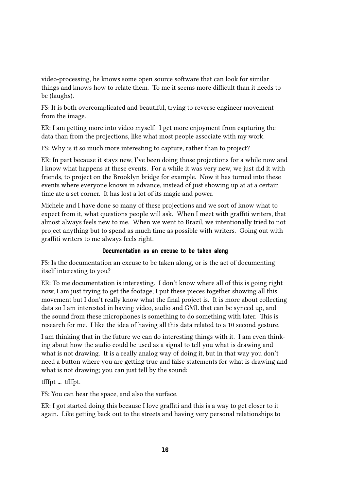video-processing, he knows some open source software that can look for similar things and knows how to relate them. To me it seems more difficult than it needs to be (laughs).

FS: It is both overcomplicated and beautiful, trying to reverse engineer movement from the image.

ER: I am getting more into video myself. I get more enjoyment from capturing the data than from the projections, like what most people associate with my work.

FS: Why is it so much more interesting to capture, rather than to project?

ER: In part because it stays new, I've been doing those projections for a while now and I know what happens at these events. For a while it was very new, we just did it with friends, to project on the Brooklyn bridge for example. Now it has turned into these events where everyone knows in advance, instead of just showing up at at a certain time ate a set corner. It has lost a lot of its magic and power.

Michele and I have done so many of these projections and we sort of know what to expect from it, what questions people will ask. When I meet with graffiti writers, that almost always feels new to me. When we went to Brazil, we intentionally tried to not project anything but to spend as much time as possible with writers. Going out with graffiti writers to me always feels right.

# **Documentation as an excuse to be taken along**

FS: Is the documentation an excuse to be taken along, or is the act of documenting itself interesting to you?

ER: To me documentation is interesting. I don't know where all of this is going right now, I am just trying to get the footage; I put these pieces together showing all this movement but I don't really know what the final project is. It is more about collecting data so I am interested in having video, audio and GML that can be synced up, and the sound from these microphones is something to do something with later. This is research for me. I like the idea of having all this data related to a 10 second gesture.

I am thinking that in the future we can do interesting things with it. I am even thinking about how the audio could be used as a signal to tell you what is drawing and what is not drawing. It is a really analog way of doing it, but in that way you don't need a button where you are getting true and false statements for what is drawing and what is not drawing; you can just tell by the sound:

tfffpt … tfffpt.

FS: You can hear the space, and also the surface.

ER: I got started doing this because I love graffiti and this is a way to get closer to it again. Like getting back out to the streets and having very personal relationships to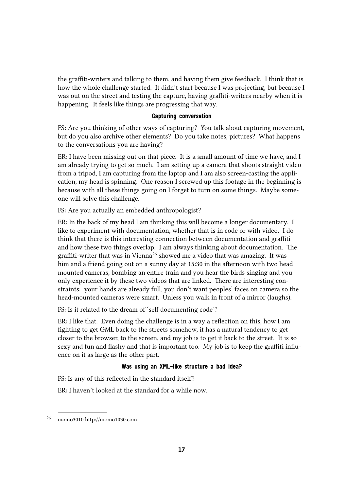the graffiti-writers and talking to them, and having them give feedback. I think that is how the whole challenge started. It didn't start because I was projecting, but because I was out on the street and testing the capture, having graffiti-writers nearby when it is happening. It feels like things are progressing that way.

#### **Capturing conversation**

FS: Are you thinking of other ways of capturing? You talk about capturing movement, but do you also archive other elements? Do you take notes, pictures? What happens to the conversations you are having?

ER: I have been missing out on that piece. It is a small amount of time we have, and I am already trying to get so much. I am setting up a camera that shoots straight video from a tripod, I am capturing from the laptop and I am also screen-casting the application, my head is spinning. One reason I screwed up this footage in the beginning is because with all these things going on I forget to turn on some things. Maybe someone will solve this challenge.

FS: Are you actually an embedded anthropologist?

ER: In the back of my head I am thinking this will become a longer documentary. I like to experiment with documentation, whether that is in code or with video. I do think that there is this interesting connection between documentation and graffiti and how these two things overlap. I am always thinking about documentation. The graffiti-writer that was in Vienna<sup>26</sup> showed me a video that was amazing. It was him and a friend going out on a sunny day at 15:30 in the afternoon with two head mounted cameras, bombing an entire train and you hear the birds singing and you only experience it by these two videos that are linked. There are interesting constraints: your hands are already full, you don't want peoples' faces on camera so the head-mounted cameras were smart. Unless you walk in front of a mirror (laughs).

FS: Is it related to the dream of 'self documenting code'?

ER: I like that. Even doing the challenge is in a way a reflection on this, how I am fighting to get GML back to the streets somehow, it has a natural tendency to get closer to the browser, to the screen, and my job is to get it back to the street. It is so sexy and fun and flashy and that is important too. My job is to keep the graffiti influence on it as large as the other part.

#### **Was using an XML-like structure a bad idea?**

FS: Is any of this reflected in the standard itself?

ER: I haven't looked at the standard for a while now.

<sup>26</sup> momo3010 http://momo1030.com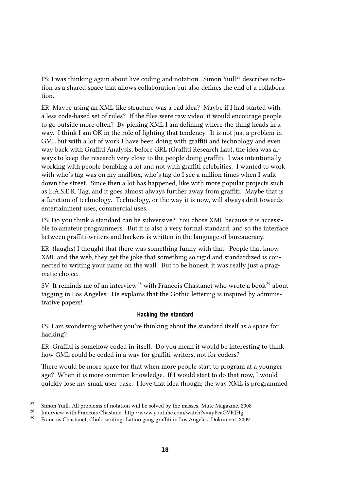FS: I was thinking again about live coding and notation. Simon Yuill<sup>27</sup> describes notation as a shared space that allows collaboration but also defines the end of a collaboration.

ER: Maybe using an XML-like structure was a bad idea? Maybe if I had started with a less code-based set of rules? If the files were raw video, it would encourage people to go outside more often? By picking XML I am defining where the thing heads in a way. I think I am OK in the role of fighting that tendency. It is not just a problem in GML but with a lot of work I have been doing with graffiti and technology and even way back with Graffiti Analysis, before GRL (Graffiti Research Lab), the idea was always to keep the research very close to the people doing graffiti. I was intentionally working with people bombing a lot and not with graffiti celebrities. I wanted to work with who's tag was on my mailbox, who's tag do I see a million times when I walk down the street. Since then a lot has happened, like with more popular projects such as L.A.S.E.R. Tag, and it goes almost always further away from graffiti. Maybe that is a function of technology. Technology, or the way it is now, will always drift towards entertainment uses, commercial uses.

FS: Do you think a standard can be subversive? You chose XML because it is accessible to amateur programmers. But it is also a very formal standard, and so the interface between graffiti-writers and hackers is written in the language of bureaucracy.

ER: (laughs) I thought that there was something funny with that. People that know XML and the web, they get the joke that something so rigid and standardized is connected to writing your name on the wall. But to be honest, it was really just a pragmatic choice.

SV: It reminds me of an interview<sup>28</sup> with Francois Chastanet who wrote a book<sup>29</sup> about tagging in Los Angeles. He explains that the Gothic lettering is inspired by administrative papers!

# **Hacking the standard**

FS: I am wondering whether you're thinking about the standard itself as a space for hacking?

ER: Graffiti is somehow coded in-itself. Do you mean it would be interesting to think how GML could be coded in a way for graffiti-writers, not for coders?

There would be more space for that when more people start to program at a younger age? When it is more common knowledge. If I would start to do that now, I would quickly lose my small user-base. I love that idea though; the way XML is programmed

<sup>&</sup>lt;sup>27</sup> Simon Yuill. All problems of notation will be solved by the masses. Mute Magazine, 2008

<sup>28</sup> Interview with Francois Chastanet http://www.youtube.com/watch?v=ayPcaGVKJHg<br>29 Epanopis Chastanet Chalo writing: Lating gang graffiti in Las Angeles, Deluwant, 20

<sup>29</sup> Francois Chastanet, Cholo writing: Latino gang graffiti in Los Angeles. Dokument, 2009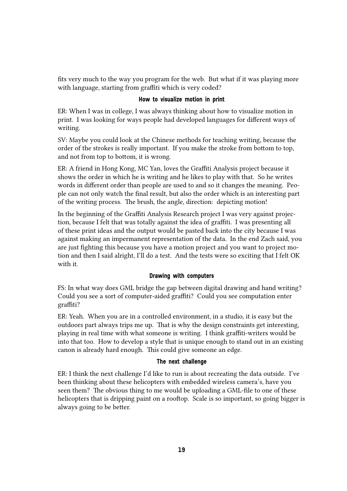fits very much to the way you program for the web. But what if it was playing more with language, starting from graffiti which is very coded?

# **How to visualize motion in print**

ER: When I was in college, I was always thinking about how to visualize motion in print. I was looking for ways people had developed languages for different ways of writing.

SV: Maybe you could look at the Chinese methods for teaching writing, because the order of the strokes is really important. If you make the stroke from bottom to top, and not from top to bottom, it is wrong.

ER: A friend in Hong Kong, MC Yan, loves the Graffiti Analysis project because it shows the order in which he is writing and he likes to play with that. So he writes words in different order than people are used to and so it changes the meaning. People can not only watch the final result, but also the order which is an interesting part of the writing process. The brush, the angle, direction: depicting motion!

In the beginning of the Graffiti Analysis Research project I was very against projection, because I felt that was totally against the idea of graffiti. I was presenting all of these print ideas and the output would be pasted back into the city because I was against making an impermanent representation of the data. In the end Zach said, you are just fighting this because you have a motion project and you want to project motion and then I said alright, I'll do a test. And the tests were so exciting that I felt OK with it.

# **Drawing with computers**

FS: In what way does GML bridge the gap between digital drawing and hand writing? Could you see a sort of computer-aided graffiti? Could you see computation enter graffiti?

ER: Yeah. When you are in a controlled environment, in a studio, it is easy but the outdoors part always trips me up. That is why the design constraints get interesting, playing in real time with what someone is writing. I think graffiti-writers would be into that too. How to develop a style that is unique enough to stand out in an existing canon is already hard enough. This could give someone an edge.

# **The next challenge**

ER: I think the next challenge I'd like to run is about recreating the data outside. I've been thinking about these helicopters with embedded wireless camera's, have you seen them? The obvious thing to me would be uploading a GML-file to one of these helicopters that is dripping paint on a rooftop. Scale is so important, so going bigger is always going to be better.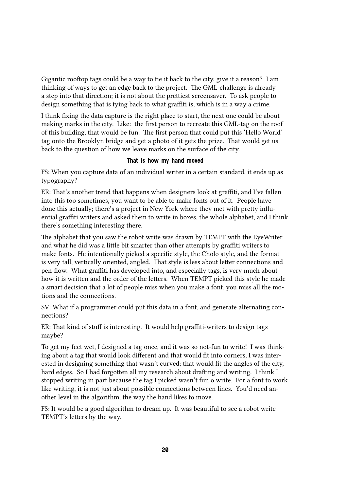Gigantic rooftop tags could be a way to tie it back to the city, give it a reason? I am thinking of ways to get an edge back to the project. The GML-challenge is already a step into that direction; it is not about the prettiest screensaver. To ask people to design something that is tying back to what graffiti is, which is in a way a crime.

I think fixing the data capture is the right place to start, the next one could be about making marks in the city. Like: the first person to recreate this GML-tag on the roof of this building, that would be fun. The first person that could put this 'Hello World' tag onto the Brooklyn bridge and get a photo of it gets the prize. That would get us back to the question of how we leave marks on the surface of the city.

# **That is how my hand moved**

FS: When you capture data of an individual writer in a certain standard, it ends up as typography?

ER: That's another trend that happens when designers look at graffiti, and I've fallen into this too sometimes, you want to be able to make fonts out of it. People have done this actually; there's a project in New York where they met with pretty influential graffiti writers and asked them to write in boxes, the whole alphabet, and I think there's something interesting there.

The alphabet that you saw the robot write was drawn by TEMPT with the EyeWriter and what he did was a little bit smarter than other attempts by graffiti writers to make fonts. He intentionally picked a specific style, the Cholo style, and the format is very tall, vertically oriented, angled. That style is less about letter connections and pen-flow. What graffiti has developed into, and especially tags, is very much about how it is written and the order of the letters. When TEMPT picked this style he made a smart decision that a lot of people miss when you make a font, you miss all the motions and the connections.

SV: What if a programmer could put this data in a font, and generate alternating connections?

ER: That kind of stuff is interesting. It would help graffiti-writers to design tags maybe?

To get my feet wet, I designed a tag once, and it was so not-fun to write! I was thinking about a tag that would look different and that would fit into corners, I was interested in designing something that wasn't curved; that would fit the angles of the city, hard edges. So I had forgotten all my research about drafting and writing. I think I stopped writing in part because the tag I picked wasn't fun o write. For a font to work like writing, it is not just about possible connections between lines. You'd need another level in the algorithm, the way the hand likes to move.

FS: It would be a good algorithm to dream up. It was beautiful to see a robot write TEMPT's letters by the way.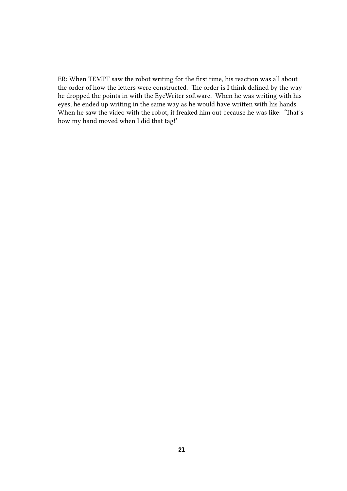ER: When TEMPT saw the robot writing for the first time, his reaction was all about the order of how the letters were constructed. The order is I think defined by the way he dropped the points in with the EyeWriter software. When he was writing with his eyes, he ended up writing in the same way as he would have written with his hands. When he saw the video with the robot, it freaked him out because he was like: 'That's how my hand moved when I did that tag!'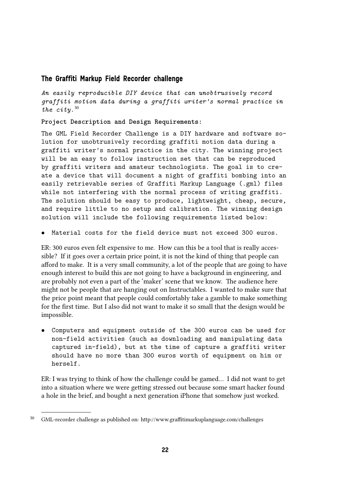# **The Graffiti Markup Field Recorder challenge**

*An easily reproducible DIY device that can unobtrusively record graffiti motion data during a graffiti writer's normal practice in the city.*<sup>30</sup>

**Project Description and Design Requirements:**

The GML Field Recorder Challenge is a DIY hardware and software solution for unobtrusively recording graffiti motion data during a graffiti writer's normal practice in the city. The winning project will be an easy to follow instruction set that can be reproduced by graffiti writers and amateur technologists. The goal is to create a device that will document a night of graffiti bombing into an easily retrievable series of Graffiti Markup Language (.gml) files while not interfering with the normal process of writing graffiti. The solution should be easy to produce, lightweight, cheap, secure, and require little to no setup and calibration. The winning design solution will include the following requirements listed below:

• Material costs for the field device must not exceed 300 euros.

ER: 300 euros even felt expensive to me. How can this be a tool that is really accessible? If it goes over a certain price point, it is not the kind of thing that people can afford to make. It is a very small community, a lot of the people that are going to have enough interest to build this are not going to have a background in engineering, and are probably not even a part of the 'maker' scene that we know. The audience here might not be people that are hanging out on Instructables. I wanted to make sure that the price point meant that people could comfortably take a gamble to make something for the first time. But I also did not want to make it so small that the design would be impossible.

• Computers and equipment outside of the 300 euros can be used for non-field activities (such as downloading and manipulating data captured in-field), but at the time of capture a graffiti writer should have no more than 300 euros worth of equipment on him or herself.

ER: I was trying to think of how the challenge could be gamed… I did not want to get into a situation where we were getting stressed out because some smart hacker found a hole in the brief, and bought a next generation iPhone that somehow just worked.

<sup>30</sup> GML-recorder challenge as published on: http://www.graffitimarkuplanguage.com/challenges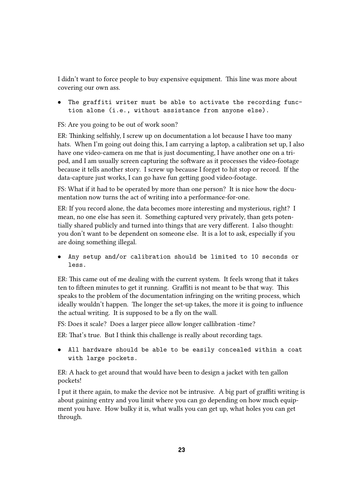I didn't want to force people to buy expensive equipment. This line was more about covering our own ass.

The graffiti writer must be able to activate the recording function alone (i.e., without assistance from anyone else).

FS: Are you going to be out of work soon?

ER: Thinking selfishly, I screw up on documentation a lot because I have too many hats. When I'm going out doing this, I am carrying a laptop, a calibration set up, I also have one video-camera on me that is just documenting, I have another one on a tripod, and I am usually screen capturing the software as it processes the video-footage because it tells another story. I screw up because I forget to hit stop or record. If the data-capture just works, I can go have fun getting good video-footage.

FS: What if it had to be operated by more than one person? It is nice how the documentation now turns the act of writing into a performance-for-one.

ER: If you record alone, the data becomes more interesting and mysterious, right? I mean, no one else has seen it. Something captured very privately, than gets potentially shared publicly and turned into things that are very different. I also thought: you don't want to be dependent on someone else. It is a lot to ask, especially if you are doing something illegal.

• Any setup and/or calibration should be limited to 10 seconds or less.

ER: This came out of me dealing with the current system. It feels wrong that it takes ten to fifteen minutes to get it running. Graffiti is not meant to be that way. This speaks to the problem of the documentation infringing on the writing process, which ideally wouldn't happen. The longer the set-up takes, the more it is going to influence the actual writing. It is supposed to be a fly on the wall.

FS: Does it scale? Does a larger piece allow longer callibration -time?

ER: That's true. But I think this challenge is really about recording tags.

• All hardware should be able to be easily concealed within a coat with large pockets.

ER: A hack to get around that would have been to design a jacket with ten gallon pockets!

I put it there again, to make the device not be intrusive. A big part of graffiti writing is about gaining entry and you limit where you can go depending on how much equipment you have. How bulky it is, what walls you can get up, what holes you can get through.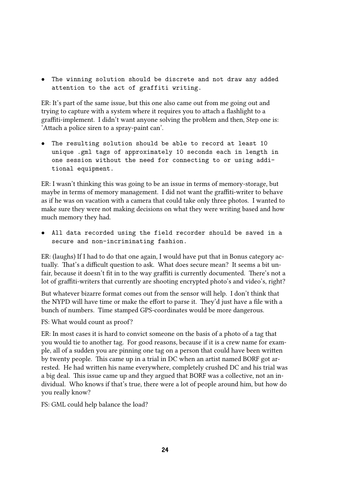• The winning solution should be discrete and not draw any added attention to the act of graffiti writing.

ER: It's part of the same issue, but this one also came out from me going out and trying to capture with a system where it requires you to attach a flashlight to a graffiti-implement. I didn't want anyone solving the problem and then, Step one is: 'Attach a police siren to a spray-paint can'.

The resulting solution should be able to record at least 10 unique .gml tags of approximately 10 seconds each in length in one session without the need for connecting to or using additional equipment.

ER: I wasn't thinking this was going to be an issue in terms of memory-storage, but maybe in terms of memory management. I did not want the graffiti-writer to behave as if he was on vacation with a camera that could take only three photos. I wanted to make sure they were not making decisions on what they were writing based and how much memory they had.

• All data recorded using the field recorder should be saved in a secure and non-incriminating fashion.

ER: (laughs) If I had to do that one again, I would have put that in Bonus category actually. That's a difficult question to ask. What does secure mean? It seems a bit unfair, because it doesn't fit in to the way graffiti is currently documented. There's not a lot of graffiti-writers that currently are shooting encrypted photo's and video's, right?

But whatever bizarre format comes out from the sensor will help. I don't think that the NYPD will have time or make the effort to parse it. They'd just have a file with a bunch of numbers. Time stamped GPS-coordinates would be more dangerous.

FS: What would count as proof?

ER: In most cases it is hard to convict someone on the basis of a photo of a tag that you would tie to another tag. For good reasons, because if it is a crew name for example, all of a sudden you are pinning one tag on a person that could have been written by twenty people. This came up in a trial in DC when an artist named BORF got arrested. He had written his name everywhere, completely crushed DC and his trial was a big deal. This issue came up and they argued that BORF was a collective, not an individual. Who knows if that's true, there were a lot of people around him, but how do you really know?

FS: GML could help balance the load?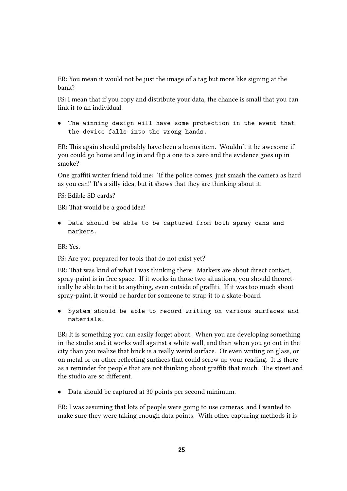ER: You mean it would not be just the image of a tag but more like signing at the bank?

FS: I mean that if you copy and distribute your data, the chance is small that you can link it to an individual.

The winning design will have some protection in the event that the device falls into the wrong hands.

ER: This again should probably have been a bonus item. Wouldn't it be awesome if you could go home and log in and flip a one to a zero and the evidence goes up in smoke?

One graffiti writer friend told me: 'If the police comes, just smash the camera as hard as you can!' It's a silly idea, but it shows that they are thinking about it.

FS: Edible SD cards?

ER: That would be a good idea!

• Data should be able to be captured from both spray cans and markers.

ER: Yes.

FS: Are you prepared for tools that do not exist yet?

ER: That was kind of what I was thinking there. Markers are about direct contact, spray-paint is in free space. If it works in those two situations, you should theoretically be able to tie it to anything, even outside of graffiti. If it was too much about spray-paint, it would be harder for someone to strap it to a skate-board.

• System should be able to record writing on various surfaces and materials.

ER: It is something you can easily forget about. When you are developing something in the studio and it works well against a white wall, and than when you go out in the city than you realize that brick is a really weird surface. Or even writing on glass, or on metal or on other reflecting surfaces that could screw up your reading. It is there as a reminder for people that are not thinking about graffiti that much. The street and the studio are so different.

• Data should be captured at 30 points per second minimum.

ER: I was assuming that lots of people were going to use cameras, and I wanted to make sure they were taking enough data points. With other capturing methods it is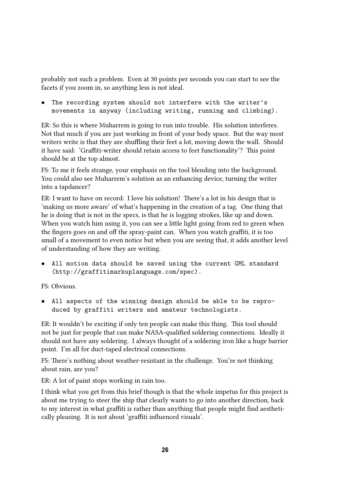probably not such a problem. Even at 30 points per seconds you can start to see the facets if you zoom in, so anything less is not ideal.

• The recording system should not interfere with the writer's movements in anyway (including writing, running and climbing).

ER: So this is where Muharrem is going to run into trouble. His solution interferes. Not that much if you are just working in front of your body space. But the way most writers write is that they are shuffling their feet a lot, moving down the wall. Should it have said: 'Graffiti-writer should retain access to feet functionality'? This point should be at the top almost.

FS: To me it feels strange, your emphasis on the tool blending into the background. You could also see Muharrem's solution as an enhancing device, turning the writer into a tapdancer?

ER: I want to have on record: I love his solution! There's a lot in his design that is 'making us more aware' of what's happening in the creation of a tag. One thing that he is doing that is not in the specs, is that he is logging strokes, like up and down. When you watch him using it, you can see a little light going from red to green when the fingers goes on and off the spray-paint can. When you watch graffiti, it is too small of a movement to even notice but when you are seeing that, it adds another level of understanding of how they are writing.

• All motion data should be saved using the current GML standard (http://graffitimarkuplanguage.com/spec).

FS: Obvious.

• All aspects of the winning design should be able to be reproduced by graffiti writers and amateur technologists.

ER: It wouldn't be exciting if only ten people can make this thing. This tool should not be just for people that can make NASA-qualified soldering connections. Ideally it should not have any soldering. I always thought of a soldering iron like a huge barrier point. I'm all for duct-taped electrical connections.

FS: There's nothing about weather-resistant in the challenge. You're not thinking about rain, are you?

ER: A lot of paint stops working in rain too.

I think what you get from this brief though is that the whole impetus for this project is about me trying to steer the ship that clearly wants to go into another direction, back to my interest in what graffiti is rather than anything that people might find aesthetically pleasing. It is not about 'graffiti influenced visuals'.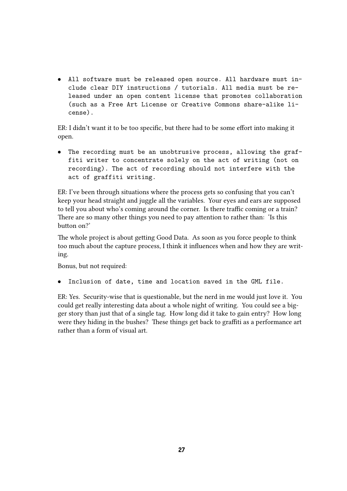• All software must be released open source. All hardware must include clear DIY instructions / tutorials. All media must be released under an open content license that promotes collaboration (such as a Free Art License or Creative Commons share-alike license).

ER: I didn't want it to be too specific, but there had to be some effort into making it open.

The recording must be an unobtrusive process, allowing the graffiti writer to concentrate solely on the act of writing (not on recording). The act of recording should not interfere with the act of graffiti writing.

ER: I've been through situations where the process gets so confusing that you can't keep your head straight and juggle all the variables. Your eyes and ears are supposed to tell you about who's coming around the corner. Is there traffic coming or a train? There are so many other things you need to pay attention to rather than: 'Is this button on?'

The whole project is about getting Good Data. As soon as you force people to think too much about the capture process, I think it influences when and how they are writing.

Bonus, but not required:

Inclusion of date, time and location saved in the GML file.

ER: Yes. Security-wise that is questionable, but the nerd in me would just love it. You could get really interesting data about a whole night of writing. You could see a bigger story than just that of a single tag. How long did it take to gain entry? How long were they hiding in the bushes? These things get back to graffiti as a performance art rather than a form of visual art.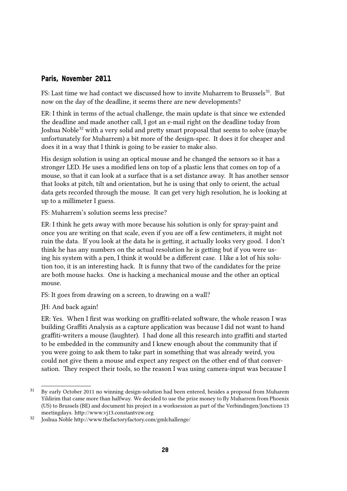# **Paris, November 2011**

FS: Last time we had contact we discussed how to invite Muharrem to Brussels<sup>31</sup>. But now on the day of the deadline, it seems there are new developments?

ER: I think in terms of the actual challenge, the main update is that since we extended the deadline and made another call, I got an e-mail right on the deadline today from Joshua Noble<sup>32</sup> with a very solid and pretty smart proposal that seems to solve (maybe unfortunately for Muharrem) a bit more of the design-spec. It does it for cheaper and does it in a way that I think is going to be easier to make also.

His design solution is using an optical mouse and he changed the sensors so it has a stronger LED. He uses a modified lens on top of a plastic lens that comes on top of a mouse, so that it can look at a surface that is a set distance away. It has another sensor that looks at pitch, tilt and orientation, but he is using that only to orient, the actual data gets recorded through the mouse. It can get very high resolution, he is looking at up to a millimeter I guess.

FS: Muharrem's solution seems less precise?

ER: I think he gets away with more because his solution is only for spray-paint and once you are writing on that scale, even if you are off a few centimeters, it might not ruin the data. If you look at the data he is getting, it actually looks very good. I don't think he has any numbers on the actual resolution he is getting but if you were using his system with a pen, I think it would be a different case. I like a lot of his solution too, it is an interesting hack. It is funny that two of the candidates for the prize are both mouse hacks. One is hacking a mechanical mouse and the other an optical mouse.

FS: It goes from drawing on a screen, to drawing on a wall?

JH: And back again!

ER: Yes. When I first was working on graffiti-related software, the whole reason I was building Graffiti Analysis as a capture application was because I did not want to hand graffiti-writers a mouse (laughter). I had done all this research into graffiti and started to be embedded in the community and I knew enough about the community that if you were going to ask them to take part in something that was already weird, you could not give them a mouse and expect any respect on the other end of that conversation. They respect their tools, so the reason I was using camera-input was because I

<sup>&</sup>lt;sup>31</sup> By early October 2011 no winning design-solution had been entered, besides a proposal from Muharem Yildirim that came more than halfway. We decided to use the prize money to fly Muharrem from Phoenix (US) to Brussels (BE) and document his project in a worksession as part of the Verbindingen/Jonctions 13 meetingdays. http://www.vj13.constantvzw.org

<sup>32</sup> Joshua Noble http://www.thefactoryfactory.com/gmlchallenge/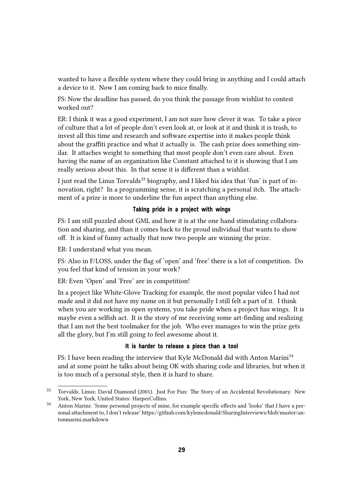wanted to have a flexible system where they could bring in anything and I could attach a device to it. Now I am coming back to mice finally.

FS: Now the deadline has passed, do you think the passage from wishlist to contest worked out?

ER: I think it was a good experiment, I am not sure how clever it was. To take a piece of culture that a lot of people don't even look at, or look at it and think it is trash, to invest all this time and research and software expertise into it makes people think about the graffiti practice and what it actually is. The cash prize does something similar. It attaches weight to something that most people don't even care about. Even having the name of an organization like Constant attached to it is showing that I am really serious about this. In that sense it is different than a wishlist.

I just read the Linus Torvalds<sup>33</sup> biography, and I liked his idea that 'fun' is part of innovation, right? In a programming sense, it is scratching a personal itch. The attachment of a prize is more to underline the fun aspect than anything else.

# **Taking pride in a project with wings**

FS: I am still puzzled about GML and how it is at the one hand stimulating collaboration and sharing, and than it comes back to the proud individual that wants to show off. It is kind of funny actually that now two people are winning the prize.

ER: I understand what you mean.

FS: Also in F/LOSS, under the flag of 'open' and 'free' there is a lot of competition. Do you feel that kind of tension in your work?

ER: Even 'Open' and 'Free' are in competition!

In a project like White-Glove Tracking for example, the most popular video I had not made and it did not have my name on it but personally I still felt a part of it. I think when you are working in open systems, you take pride when a project has wings. It is maybe even a selfish act. It is the story of me receiving some art-finding and realizing that I am not the best toolmaker for the job. Who ever manages to win the prize gets all the glory, but I'm still going to feel awesome about it.

## **It is harder to release a piece than a tool**

FS: I have been reading the interview that Kyle McDonald did with Anton Marini<sup>34</sup> and at some point he talks about being OK with sharing code and libraries, but when it is too much of a personal style, then it is hard to share.

<sup>33</sup> Torvalds, Linus; David Diamond (2001). Just For Fun: The Story of an Accidental Revolutionary. New York, New York, United States: HarperCollins.

<sup>34</sup> Anton Marini: 'Some personal projects of mine, for example specific effects and 'looks' that I have a personal attachment to, I don't release' https://github.com/kylemcdonald/SharingInterviews/blob/master/antonmarini.markdown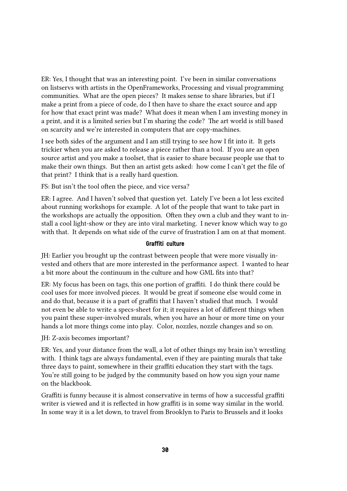ER: Yes, I thought that was an interesting point. I've been in similar conversations on listservs with artists in the OpenFrameworks, Processing and visual programming communities. What are the open pieces? It makes sense to share libraries, but if I make a print from a piece of code, do I then have to share the exact source and app for how that exact print was made? What does it mean when I am investing money in a print, and it is a limited series but I'm sharing the code? The art world is still based on scarcity and we're interested in computers that are copy-machines.

I see both sides of the argument and I am still trying to see how I fit into it. It gets trickier when you are asked to release a piece rather than a tool. If you are an open source artist and you make a toolset, that is easier to share because people use that to make their own things. But then an artist gets asked: how come I can't get the file of that print? I think that is a really hard question.

FS: But isn't the tool often the piece, and vice versa?

ER: I agree. And I haven't solved that question yet. Lately I've been a lot less excited about running workshops for example. A lot of the people that want to take part in the workshops are actually the opposition. Often they own a club and they want to install a cool light-show or they are into viral marketing. I never know which way to go with that. It depends on what side of the curve of frustration I am on at that moment.

#### **Graffiti culture**

JH: Earlier you brought up the contrast between people that were more visually invested and others that are more interested in the performance aspect. I wanted to hear a bit more about the continuum in the culture and how GML fits into that?

ER: My focus has been on tags, this one portion of graffiti. I do think there could be cool uses for more involved pieces. It would be great if someone else would come in and do that, because it is a part of graffiti that I haven't studied that much. I would not even be able to write a specs-sheet for it; it requires a lot of different things when you paint these super-involved murals, when you have an hour or more time on your hands a lot more things come into play. Color, nozzles, nozzle changes and so on.

JH: Z-axis becomes important?

ER: Yes, and your distance from the wall, a lot of other things my brain isn't wrestling with. I think tags are always fundamental, even if they are painting murals that take three days to paint, somewhere in their graffiti education they start with the tags. You're still going to be judged by the community based on how you sign your name on the blackbook.

Graffiti is funny because it is almost conservative in terms of how a successful graffiti writer is viewed and it is reflected in how graffiti is in some way similar in the world. In some way it is a let down, to travel from Brooklyn to Paris to Brussels and it looks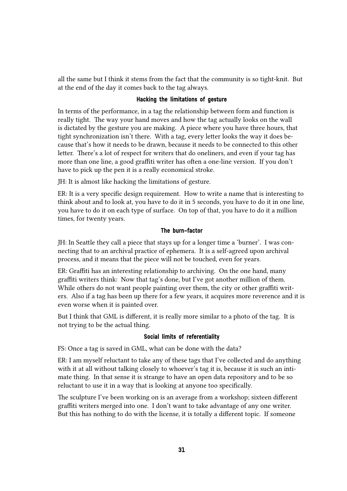all the same but I think it stems from the fact that the community is so tight-knit. But at the end of the day it comes back to the tag always.

#### **Hacking the limitations of gesture**

In terms of the performance, in a tag the relationship between form and function is really tight. The way your hand moves and how the tag actually looks on the wall is dictated by the gesture you are making. A piece where you have three hours, that tight synchronization isn't there. With a tag, every letter looks the way it does because that's how it needs to be drawn, because it needs to be connected to this other letter. There's a lot of respect for writers that do oneliners, and even if your tag has more than one line, a good graffiti writer has often a one-line version. If you don't have to pick up the pen it is a really economical stroke.

JH: It is almost like hacking the limitations of gesture.

ER: It is a very specific design requirement. How to write a name that is interesting to think about and to look at, you have to do it in 5 seconds, you have to do it in one line, you have to do it on each type of surface. On top of that, you have to do it a million times, for twenty years.

#### **The burn-factor**

JH: In Seattle they call a piece that stays up for a longer time a 'burner'. I was connecting that to an archival practice of ephemera. It is a self-agreed upon archival process, and it means that the piece will not be touched, even for years.

ER: Graffiti has an interesting relationship to archiving. On the one hand, many graffiti writers think: Now that tag's done, but I've got another million of them. While others do not want people painting over them, the city or other graffiti writers. Also if a tag has been up there for a few years, it acquires more reverence and it is even worse when it is painted over.

But I think that GML is different, it is really more similar to a photo of the tag. It is not trying to be the actual thing.

#### **Social limits of referentiality**

FS: Once a tag is saved in GML, what can be done with the data?

ER: I am myself reluctant to take any of these tags that I've collected and do anything with it at all without talking closely to whoever's tag it is, because it is such an intimate thing. In that sense it is strange to have an open data repository and to be so reluctant to use it in a way that is looking at anyone too specifically.

The sculpture I've been working on is an average from a workshop; sixteen different graffiti writers merged into one. I don't want to take advantage of any one writer. But this has nothing to do with the license, it is totally a different topic. If someone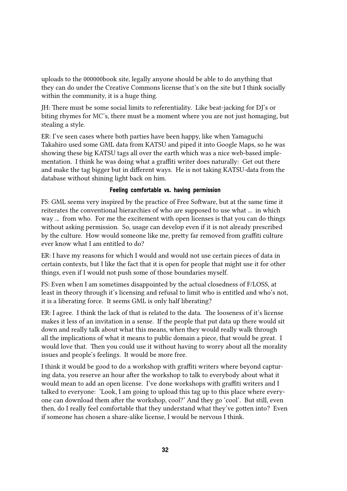uploads to the 000000book site, legally anyone should be able to do anything that they can do under the Creative Commons license that's on the site but I think socially within the community, it is a huge thing.

JH: There must be some social limits to referentiality. Like beat-jacking for DJ's or biting rhymes for MC's, there must be a moment where you are not just homaging, but stealing a style.

ER: I've seen cases where both parties have been happy, like when Yamaguchi Takahiro used some GML data from KATSU and piped it into Google Maps, so he was showing these big KATSU tags all over the earth which was a nice web-based implementation. I think he was doing what a graffiti writer does naturally: Get out there and make the tag bigger but in different ways. He is not taking KATSU-data from the database without shining light back on him.

# **Feeling comfortable vs. having permission**

FS: GML seems very inspired by the practice of Free Software, but at the same time it reiterates the conventional hierarchies of who are supposed to use what … in which way … from who. For me the excitement with open licenses is that you can do things without asking permission. So, usage can develop even if it is not already prescribed by the culture. How would someone like me, pretty far removed from graffiti culture ever know what I am entitled to do?

ER: I have my reasons for which I would and would not use certain pieces of data in certain contexts, but I like the fact that it is open for people that might use it for other things, even if I would not push some of those boundaries myself.

FS: Even when I am sometimes disappointed by the actual closedness of F/LOSS, at least in theory through it's licensing and refusal to limit who is entitled and who's not, it is a liberating force. It seems GML is only half liberating?

ER: I agree. I think the lack of that is related to the data. The looseness of it's license makes it less of an invitation in a sense. If the people that put data up there would sit down and really talk about what this means, when they would really walk through all the implications of what it means to public domain a piece, that would be great. I would love that. Then you could use it without having to worry about all the morality issues and people's feelings. It would be more free.

I think it would be good to do a workshop with graffiti writers where beyond capturing data, you reserve an hour after the workshop to talk to everybody about what it would mean to add an open license. I've done workshops with graffiti writers and I talked to everyone: 'Look, I am going to upload this tag up to this place where everyone can download them after the workshop, cool?' And they go 'cool'. But still, even then, do I really feel comfortable that they understand what they've gotten into? Even if someone has chosen a share-alike license, I would be nervous I think.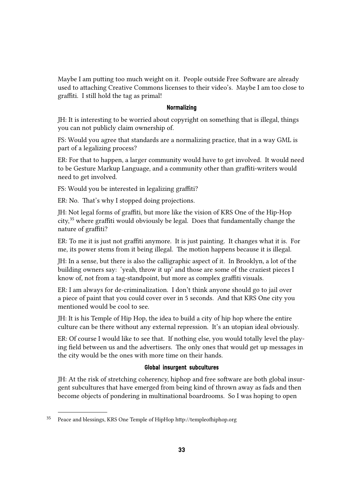Maybe I am putting too much weight on it. People outside Free Software are already used to attaching Creative Commons licenses to their video's. Maybe I am too close to graffiti. I still hold the tag as primal!

## **Normalizing**

JH: It is interesting to be worried about copyright on something that is illegal, things you can not publicly claim ownership of.

FS: Would you agree that standards are a normalizing practice, that in a way GML is part of a legalizing process?

ER: For that to happen, a larger community would have to get involved. It would need to be Gesture Markup Language, and a community other than graffiti-writers would need to get involved.

FS: Would you be interested in legalizing graffiti?

ER: No. That's why I stopped doing projections.

JH: Not legal forms of graffiti, but more like the vision of KRS One of the Hip-Hop city, $35$  where graffiti would obviously be legal. Does that fundamentally change the nature of graffiti?

ER: To me it is just not graffiti anymore. It is just painting. It changes what it is. For me, its power stems from it being illegal. The motion happens because it is illegal.

JH: In a sense, but there is also the calligraphic aspect of it. In Brooklyn, a lot of the building owners say: 'yeah, throw it up' and those are some of the craziest pieces I know of, not from a tag-standpoint, but more as complex graffiti visuals.

ER: I am always for de-criminalization. I don't think anyone should go to jail over a piece of paint that you could cover over in 5 seconds. And that KRS One city you mentioned would be cool to see.

JH: It is his Temple of Hip Hop, the idea to build a city of hip hop where the entire culture can be there without any external repression. It's an utopian ideal obviously.

ER: Of course I would like to see that. If nothing else, you would totally level the playing field between us and the advertisers. The only ones that would get up messages in the city would be the ones with more time on their hands.

# **Global insurgent subcultures**

JH: At the risk of stretching coherency, hiphop and free software are both global insurgent subcultures that have emerged from being kind of thrown away as fads and then become objects of pondering in multinational boardrooms. So I was hoping to open

<sup>35</sup> Peace and blessings, KRS One Temple of HipHop http://templeofhiphop.org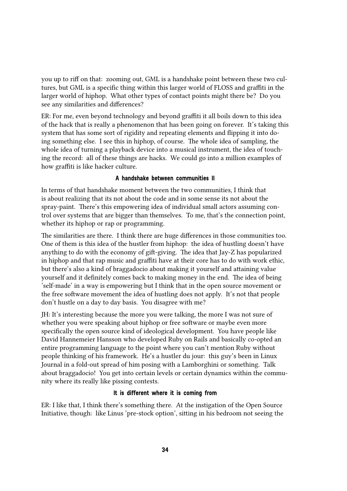you up to riff on that: zooming out, GML is a handshake point between these two cultures, but GML is a specific thing within this larger world of FLOSS and graffiti in the larger world of hiphop. What other types of contact points might there be? Do you see any similarities and differences?

ER: For me, even beyond technology and beyond graffiti it all boils down to this idea of the hack that is really a phenomenon that has been going on forever. It's taking this system that has some sort of rigidity and repeating elements and flipping it into doing something else. I see this in hiphop, of course. The whole idea of sampling, the whole idea of turning a playback device into a musical instrument, the idea of touching the record: all of these things are hacks. We could go into a million examples of how graffiti is like hacker culture.

# **A handshake between communities II**

In terms of that handshake moment between the two communities, I think that is about realizing that its not about the code and in some sense its not about the spray-paint. There's this empowering idea of individual small actors assuming control over systems that are bigger than themselves. To me, that's the connection point, whether its hiphop or rap or programming.

The similarities are there. I think there are huge differences in those communities too. One of them is this idea of the hustler from hiphop: the idea of hustling doesn't have anything to do with the economy of gift-giving. The idea that Jay-Z has popularized in hiphop and that rap music and graffiti have at their core has to do with work ethic, but there's also a kind of braggadocio about making it yourself and attaining value yourself and it definitely comes back to making money in the end. The idea of being 'self-made' in a way is empowering but I think that in the open source movement or the free software movement the idea of hustling does not apply. It's not that people don't hustle on a day to day basis. You disagree with me?

JH: It's interesting because the more you were talking, the more I was not sure of whether you were speaking about hiphop or free software or maybe even more specifically the open source kind of ideological development. You have people like David Hannemeier Hansson who developed Ruby on Rails and basically co-opted an entire programming language to the point where you can't mention Ruby without people thinking of his framework. He's a hustler du jour: this guy's been in Linux Journal in a fold-out spread of him posing with a Lamborghini or something. Talk about braggadocio! You get into certain levels or certain dynamics within the community where its really like pissing contests.

## **It is different where it is coming from**

ER: I like that, I think there's something there. At the instigation of the Open Source Initiative, though: like Linus 'pre-stock option', sitting in his bedroom not seeing the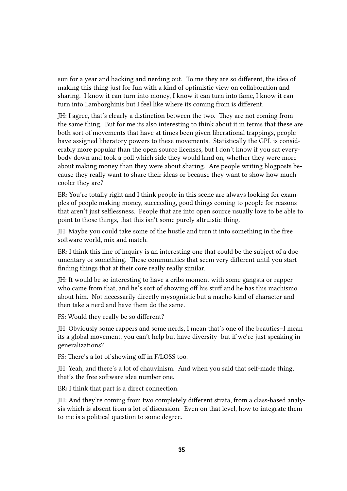sun for a year and hacking and nerding out. To me they are so different, the idea of making this thing just for fun with a kind of optimistic view on collaboration and sharing. I know it can turn into money, I know it can turn into fame, I know it can turn into Lamborghinis but I feel like where its coming from is different.

JH: I agree, that's clearly a distinction between the two. They are not coming from the same thing. But for me its also interesting to think about it in terms that these are both sort of movements that have at times been given liberational trappings, people have assigned liberatory powers to these movements. Statistically the GPL is considerably more popular than the open source licenses, but I don't know if you sat everybody down and took a poll which side they would land on, whether they were more about making money than they were about sharing. Are people writing blogposts because they really want to share their ideas or because they want to show how much cooler they are?

ER: You're totally right and I think people in this scene are always looking for examples of people making money, succeeding, good things coming to people for reasons that aren't just selflessness. People that are into open source usually love to be able to point to those things, that this isn't some purely altruistic thing.

JH: Maybe you could take some of the hustle and turn it into something in the free software world, mix and match.

ER: I think this line of inquiry is an interesting one that could be the subject of a documentary or something. These communities that seem very different until you start finding things that at their core really really similar.

JH: It would be so interesting to have a cribs moment with some gangsta or rapper who came from that, and he's sort of showing off his stuff and he has this machismo about him. Not necessarily directly mysognistic but a macho kind of character and then take a nerd and have them do the same.

FS: Would they really be so different?

JH: Obviously some rappers and some nerds, I mean that's one of the beauties–I mean its a global movement, you can't help but have diversity–but if we're just speaking in generalizations?

FS: There's a lot of showing off in F/LOSS too.

JH: Yeah, and there's a lot of chauvinism. And when you said that self-made thing, that's the free software idea number one.

ER: I think that part is a direct connection.

JH: And they're coming from two completely different strata, from a class-based analysis which is absent from a lot of discussion. Even on that level, how to integrate them to me is a political question to some degree.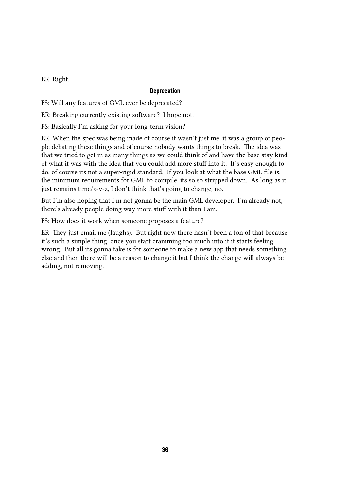ER: Right.

# **Deprecation**

FS: Will any features of GML ever be deprecated?

ER: Breaking currently existing software? I hope not.

FS: Basically I'm asking for your long-term vision?

ER: When the spec was being made of course it wasn't just me, it was a group of people debating these things and of course nobody wants things to break. The idea was that we tried to get in as many things as we could think of and have the base stay kind of what it was with the idea that you could add more stuff into it. It's easy enough to do, of course its not a super-rigid standard. If you look at what the base GML file is, the minimum requirements for GML to compile, its so so stripped down. As long as it just remains time/x-y-z, I don't think that's going to change, no.

But I'm also hoping that I'm not gonna be the main GML developer. I'm already not, there's already people doing way more stuff with it than I am.

FS: How does it work when someone proposes a feature?

ER: They just email me (laughs). But right now there hasn't been a ton of that because it's such a simple thing, once you start cramming too much into it it starts feeling wrong. But all its gonna take is for someone to make a new app that needs something else and then there will be a reason to change it but I think the change will always be adding, not removing.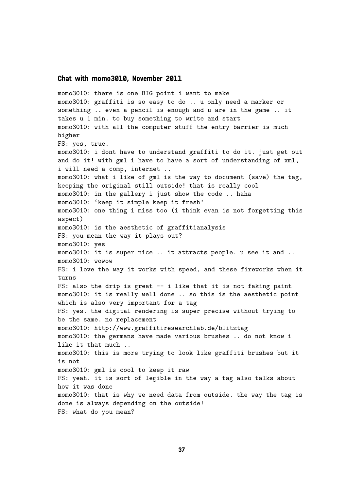#### **Chat with momo3010, November 2011**

momo3010: there is one BIG point i want to make momo3010: graffiti is so easy to do .. u only need a marker or something .. even a pencil is enough and u are in the game .. it takes u 1 min. to buy something to write and start momo3010: with all the computer stuff the entry barrier is much higher FS: yes, true. momo3010: i dont have to understand graffiti to do it. just get out and do it! with gml i have to have a sort of understanding of xml, i will need a comp, internet .. momo3010: what i like of gml is the way to document (save) the tag, keeping the original still outside! that is really cool momo3010: in the gallery i just show the code .. haha momo3010: 'keep it simple keep it fresh' momo3010: one thing i miss too (i think evan is not forgetting this aspect) momo3010: is the aesthetic of graffitianalysis FS: you mean the way it plays out? momo3010: yes momo3010: it is super nice .. it attracts people. u see it and .. momo3010: wowow FS: i love the way it works with speed, and these fireworks when it turns FS: also the drip is great -- i like that it is not faking paint momo3010: it is really well done .. so this is the aesthetic point which is also very important for a tag FS: yes. the digital rendering is super precise without trying to be the same. no replacement momo3010: http://www.graffitiresearchlab.de/blitztag momo3010: the germans have made various brushes .. do not know i like it that much .. momo3010: this is more trying to look like graffiti brushes but it is not momo3010: gml is cool to keep it raw FS: yeah. it is sort of legible in the way a tag also talks about how it was done momo3010: that is why we need data from outside. the way the tag is done is always depending on the outside! FS: what do you mean?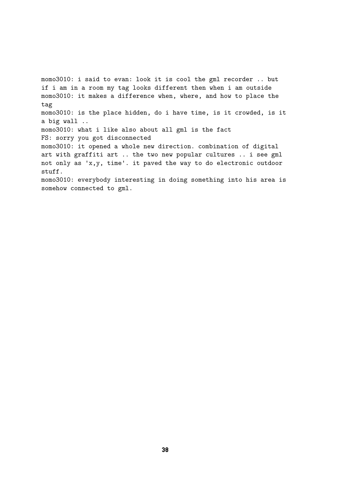momo3010: i said to evan: look it is cool the gml recorder .. but if i am in a room my tag looks different then when i am outside momo3010: it makes a difference when, where, and how to place the tag momo3010: is the place hidden, do i have time, is it crowded, is it a big wall .. momo3010: what i like also about all gml is the fact FS: sorry you got disconnected momo3010: it opened a whole new direction. combination of digital art with graffiti art .. the two new popular cultures .. i see gml not only as 'x,y, time'. it paved the way to do electronic outdoor stuff. momo3010: everybody interesting in doing something into his area is somehow connected to gml.